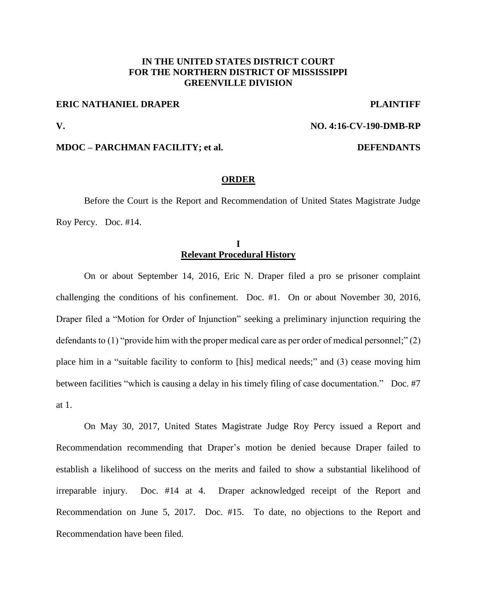# **IN THE UNITED STATES DISTRICT COURT FOR THE NORTHERN DISTRICT OF MISSISSIPPI GREENVILLE DIVISION**

## **ERIC NATHANIEL DRAPER PLAINTIFF**

## **V. NO. 4:16-CV-190-DMB-RP**

### **MDOC – PARCHMAN FACILITY; et al. DEFENDANTS**

## **ORDER**

Before the Court is the Report and Recommendation of United States Magistrate Judge Roy Percy. Doc. #14.

# **I Relevant Procedural History**

On or about September 14, 2016, Eric N. Draper filed a pro se prisoner complaint challenging the conditions of his confinement. Doc. #1. On or about November 30, 2016, Draper filed a "Motion for Order of Injunction" seeking a preliminary injunction requiring the defendants to (1) "provide him with the proper medical care as per order of medical personnel;" (2) place him in a "suitable facility to conform to [his] medical needs;" and (3) cease moving him between facilities "which is causing a delay in his timely filing of case documentation." Doc. #7 at 1.

On May 30, 2017, United States Magistrate Judge Roy Percy issued a Report and Recommendation recommending that Draper's motion be denied because Draper failed to establish a likelihood of success on the merits and failed to show a substantial likelihood of irreparable injury. Doc. #14 at 4. Draper acknowledged receipt of the Report and Recommendation on June 5, 2017. Doc. #15. To date, no objections to the Report and Recommendation have been filed.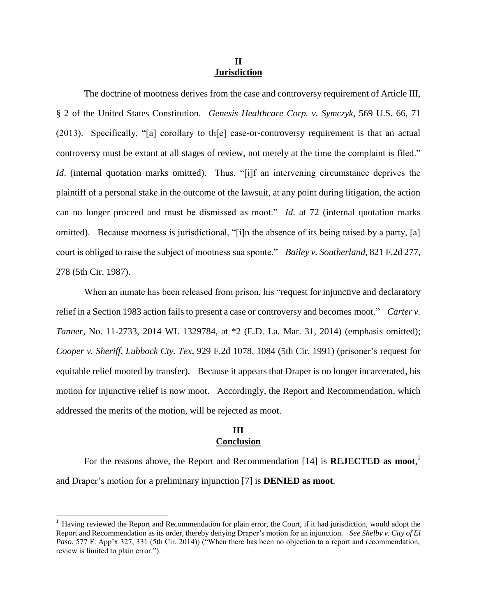## **II Jurisdiction**

The doctrine of mootness derives from the case and controversy requirement of Article III, § 2 of the United States Constitution. *Genesis Healthcare Corp. v. Symczyk*, 569 U.S. 66, 71 (2013). Specifically, "[a] corollary to th[e] case-or-controversy requirement is that an actual controversy must be extant at all stages of review, not merely at the time the complaint is filed." *Id.* (internal quotation marks omitted). Thus, "[i]f an intervening circumstance deprives the plaintiff of a personal stake in the outcome of the lawsuit, at any point during litigation, the action can no longer proceed and must be dismissed as moot." *Id*. at 72 (internal quotation marks omitted). Because mootness is jurisdictional, "[i]n the absence of its being raised by a party, [a] court is obliged to raise the subject of mootness sua sponte." *Bailey v. Southerland*, 821 F.2d 277, 278 (5th Cir. 1987).

When an inmate has been released from prison, his "request for injunctive and declaratory relief in a Section 1983 action fails to present a case or controversy and becomes moot." *Carter v. Tanner*, No. 11-2733, 2014 WL 1329784, at \*2 (E.D. La. Mar. 31, 2014) (emphasis omitted); *Cooper v. Sheriff, Lubbock Cty. Tex*, 929 F.2d 1078, 1084 (5th Cir. 1991) (prisoner's request for equitable relief mooted by transfer). Because it appears that Draper is no longer incarcerated, his motion for injunctive relief is now moot. Accordingly, the Report and Recommendation, which addressed the merits of the motion, will be rejected as moot.

### **III Conclusion**

For the reasons above, the Report and Recommendation [14] is **REJECTED as moot**, 1 and Draper's motion for a preliminary injunction [7] is **DENIED as moot**.

 $\overline{a}$ 

 $<sup>1</sup>$  Having reviewed the Report and Recommendation for plain error, the Court, if it had jurisdiction, would adopt the</sup> Report and Recommendation as its order, thereby denying Draper's motion for an injunction. *See Shelby v. City of El Paso*, 577 F. App'x 327, 331 (5th Cir. 2014)) ("When there has been no objection to a report and recommendation, review is limited to plain error.").